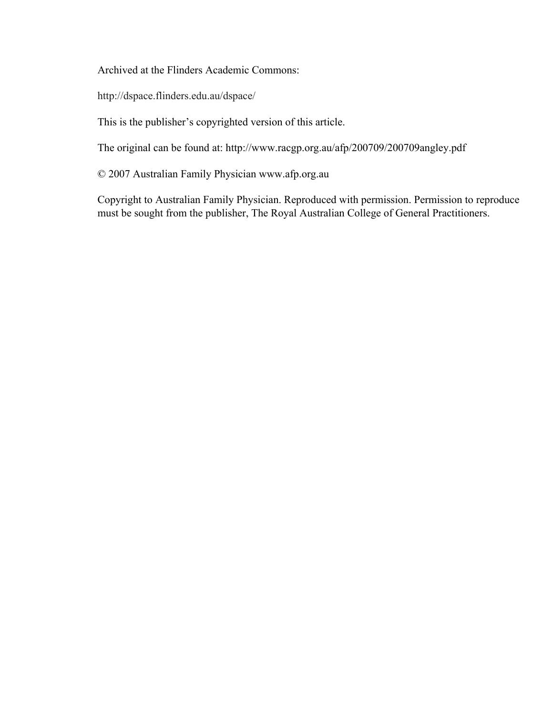Archived at the Flinders Academic Commons:

http://dspace.flinders.edu.au/dspace/

This is the publisher's copyrighted version of this article.

The original can be found at: http://www.racgp.org.au/afp/200709/200709angley.pdf

© 2007 Australian Family Physician www.afp.org.au

Copyright to Australian Family Physician. Reproduced with permission. Permission to reproduce must be sought from the publisher, The Royal Australian College of General Practitioners.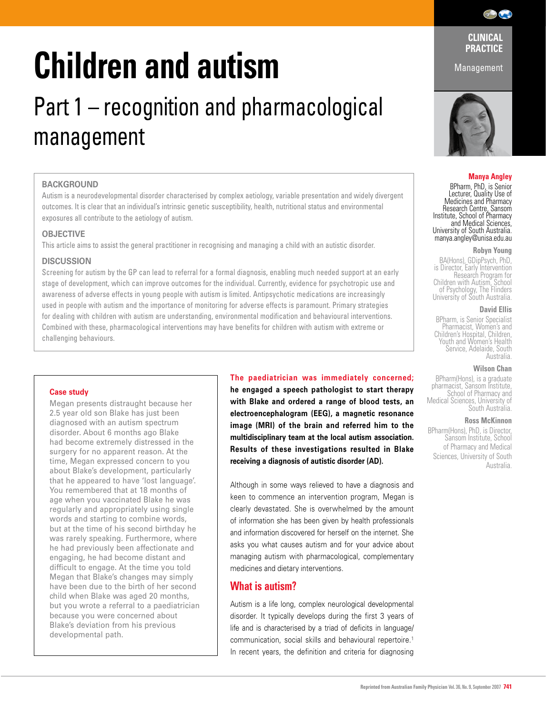# **Children and autism**

# Part 1 – recognition and pharmacological management

# **BACKGROUND**

Autism is a neurodevelopmental disorder characterised by complex aetiology, variable presentation and widely divergent outcomes. It is clear that an individual's intrinsic genetic susceptibility, health, nutritional status and environmental exposures all contribute to the aetiology of autism.

# **OBJECTIVE**

This article aims to assist the general practitioner in recognising and managing a child with an autistic disorder.

# **DISCUSSION**

Screening for autism by the GP can lead to referral for a formal diagnosis, enabling much needed support at an early stage of development, which can improve outcomes for the individual. Currently, evidence for psychotropic use and awareness of adverse effects in young people with autism is limited. Antipsychotic medications are increasingly used in people with autism and the importance of monitoring for adverse effects is paramount. Primary strategies for dealing with children with autism are understanding, environmental modification and behavioural interventions. Combined with these, pharmacological interventions may have benefits for children with autism with extreme or challenging behaviours.

# **Case study**

Megan presents distraught because her 2.5 year old son Blake has just been diagnosed with an autism spectrum disorder. About 6 months ago Blake had become extremely distressed in the surgery for no apparent reason. At the time, Megan expressed concern to you about Blake's development, particularly that he appeared to have 'lost language'. You remembered that at 18 months of age when you vaccinated Blake he was regularly and appropriately using single words and starting to combine words, but at the time of his second birthday he was rarely speaking. Furthermore, where he had previously been affectionate and engaging, he had become distant and difficult to engage. At the time you told Megan that Blake's changes may simply have been due to the birth of her second child when Blake was aged 20 months, but you wrote a referral to a paediatrician because you were concerned about Blake's deviation from his previous developmental path.

**The paediatrician was immediately concerned; he engaged a speech pathologist to start therapy** 

**with Blake and ordered a range of blood tests, an electroencephalogram (EEG), a magnetic resonance image (MRI) of the brain and referred him to the multidisciplinary team at the local autism association. Results of these investigations resulted in Blake receiving a diagnosis of autistic disorder (AD).** 

Although in some ways relieved to have a diagnosis and keen to commence an intervention program, Megan is clearly devastated. She is overwhelmed by the amount of information she has been given by health professionals and information discovered for herself on the internet. She asks you what causes autism and for your advice about managing autism with pharmacological, complementary medicines and dietary interventions.

# **What is autism?**

Autism is a life long, complex neurological developmental disorder. It typically develops during the first 3 years of life and is characterised by a triad of deficits in language/ communication, social skills and behavioural repertoire.1 In recent years, the definition and criteria for diagnosing

**CLINICAL PRACTICE** 

Management



# **Manya Angley**

BPharm, PhD, is Senior Lecturer, Quality Use of Medicines and Pharmacy Research Centre, Sansom Institute, School of Pharmacy and Medical Sciences, University of South Australia. manya.angley@unisa.edu.au

#### **Robyn Young**

BA(Hons), GDipPsych, PhD, is Director, Early Intervention Research Program for Children with Autism, School of Psychology, The Flinders University of South Australia.

#### **David Ellis**

BPharm, is Senior Specialist Pharmacist, Women's and Children's Hospital, Children, Youth and Women's Health Service, Adelaide, South Australia.

#### **Wilson Chan**

BPharm(Hons), is a graduate pharmacist, Sansom Institute,<br>School of Pharmacy and<br>Medical Sciences, University of<br>South Australia.

#### **Ross McKinnon**

BPharm(Hons), PhD, is Director, Sansom Institute, School of Pharmacy and Medical Sciences, University of South Australia.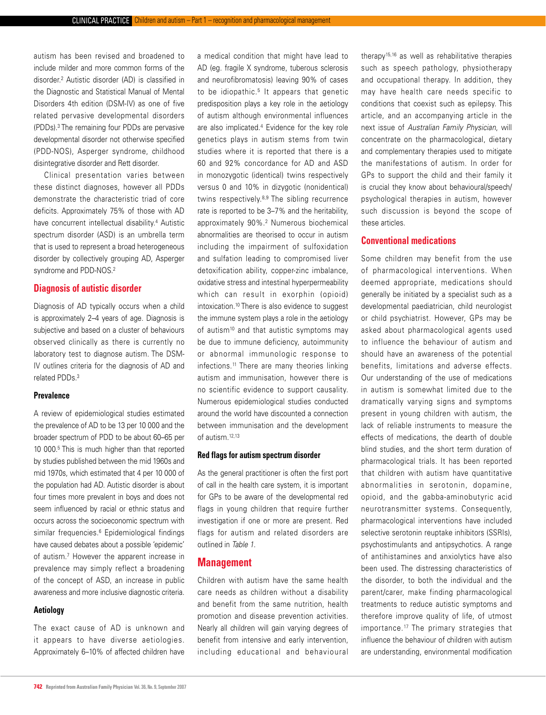autism has been revised and broadened to include milder and more common forms of the disorder.2 Autistic disorder (AD) is classified in the Diagnostic and Statistical Manual of Mental Disorders 4th edition (DSM-IV) as one of five related pervasive developmental disorders (PDDs).3 The remaining four PDDs are pervasive developmental disorder not otherwise specified (PDD-NOS), Asperger syndrome, childhood disintegrative disorder and Rett disorder.

 Clinical presentation varies between these distinct diagnoses, however all PDDs demonstrate the characteristic triad of core deficits. Approximately 75% of those with AD have concurrent intellectual disability.<sup>4</sup> Autistic spectrum disorder (ASD) is an umbrella term that is used to represent a broad heterogeneous disorder by collectively grouping AD, Asperger syndrome and PDD-NOS.2

# **Diagnosis of autistic disorder**

Diagnosis of AD typically occurs when a child is approximately 2–4 years of age. Diagnosis is subjective and based on a cluster of behaviours observed clinically as there is currently no laboratory test to diagnose autism. The DSM-IV outlines criteria for the diagnosis of AD and related PDDs.3

#### **Prevalence**

A review of epidemiological studies estimated the prevalence of AD to be 13 per 10 000 and the broader spectrum of PDD to be about 60–65 per 10 000.5 This is much higher than that reported by studies published between the mid 1960s and mid 1970s, which estimated that 4 per 10 000 of the population had AD. Autistic disorder is about four times more prevalent in boys and does not seem influenced by racial or ethnic status and occurs across the socioeconomic spectrum with similar frequencies.<sup>6</sup> Epidemiological findings have caused debates about a possible 'epidemic' of autism.7 However the apparent increase in prevalence may simply reflect a broadening of the concept of ASD, an increase in public awareness and more inclusive diagnostic criteria.

#### **Aetiology**

The exact cause of AD is unknown and it appears to have diverse aetiologies. Approximately 6–10% of affected children have a medical condition that might have lead to AD (eg. fragile X syndrome, tuberous sclerosis and neurofibromatosis) leaving 90% of cases to be idiopathic.<sup>5</sup> It appears that genetic predisposition plays a key role in the aetiology of autism although environmental influences are also implicated.4 Evidence for the key role genetics plays in autism stems from twin studies where it is reported that there is a 60 and 92% concordance for AD and ASD in monozygotic (identical) twins respectively versus 0 and 10% in dizygotic (nonidentical) twins respectively.8,9 The sibling recurrence rate is reported to be 3–7% and the heritability, approximately 90%.2 Numerous biochemical abnormalities are theorised to occur in autism including the impairment of sulfoxidation and sulfation leading to compromised liver detoxification ability, copper-zinc imbalance, oxidative stress and intestinal hyperpermeability which can result in exorphin (opioid) intoxication.10 There is also evidence to suggest the immune system plays a role in the aetiology of autism<sup>10</sup> and that autistic symptoms may be due to immune deficiency, autoimmunity or abnormal immunologic response to infections.11 There are many theories linking autism and immunisation, however there is no scientific evidence to support causality. Numerous epidemiological studies conducted around the world have discounted a connection between immunisation and the development of autism.12,13

# **Red flags for autism spectrum disorder**

As the general practitioner is often the first port of call in the health care system, it is important for GPs to be aware of the developmental red flags in young children that require further investigation if one or more are present. Red flags for autism and related disorders are outlined in *Table 1*.

# **Management**

Children with autism have the same health care needs as children without a disability and benefit from the same nutrition, health promotion and disease prevention activities. Nearly all children will gain varying degrees of benefit from intensive and early intervention, including educational and behavioural

therapy15,16 as well as rehabilitative therapies such as speech pathology, physiotherapy and occupational therapy. In addition, they may have health care needs specific to conditions that coexist such as epilepsy. This article, and an accompanying article in the next issue of *Australian Family Physician*, will concentrate on the pharmacological, dietary and complementary therapies used to mitigate the manifestations of autism. In order for GPs to support the child and their family it is crucial they know about behavioural/speech/ psychological therapies in autism, however such discussion is beyond the scope of these articles.

# **Conventional medications**

Some children may benefit from the use of pharmacological interventions. When deemed appropriate, medications should generally be initiated by a specialist such as a developmental paediatrician, child neurologist or child psychiatrist. However, GPs may be asked about pharmacological agents used to influence the behaviour of autism and should have an awareness of the potential benefits, limitations and adverse effects. Our understanding of the use of medications in autism is somewhat limited due to the dramatically varying signs and symptoms present in young children with autism, the lack of reliable instruments to measure the effects of medications, the dearth of double blind studies, and the short term duration of pharmacological trials. It has been reported that children with autism have quantitative abnormalities in serotonin, dopamine, opioid, and the gabba-aminobutyric acid neurotransmitter systems. Consequently, pharmacological interventions have included selective serotonin reuptake inhibitors (SSRIs), psychostimulants and antipsychotics. A range of antihistamines and anxiolytics have also been used. The distressing characteristics of the disorder, to both the individual and the parent/carer, make finding pharmacological treatments to reduce autistic symptoms and therefore improve quality of life, of utmost importance.17 The primary strategies that influence the behaviour of children with autism are understanding, environmental modification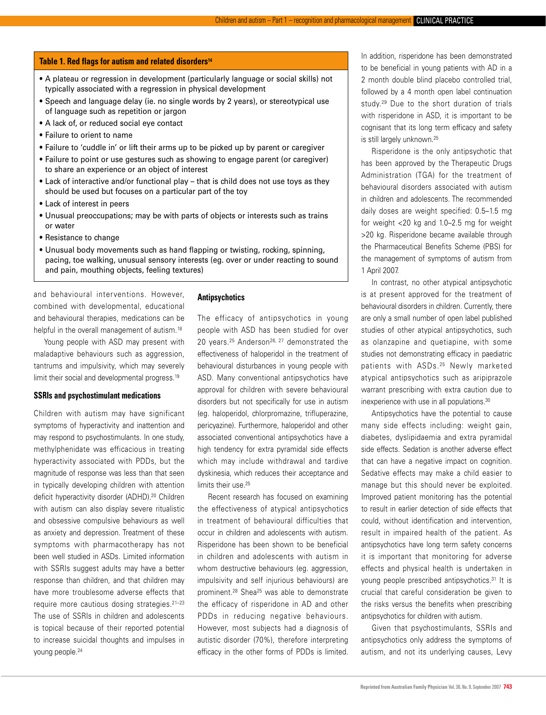#### Table 1. Red flags for autism and related disorders<sup>14</sup>

- A plateau or regression in development (particularly language or social skills) not typically associated with a regression in physical development
- Speech and language delay (ie. no single words by 2 years), or stereotypical use of language such as repetition or jargon
- A lack of, or reduced social eye contact
- Failure to orient to name
- Failure to 'cuddle in' or lift their arms up to be picked up by parent or caregiver
- Failure to point or use gestures such as showing to engage parent (or caregiver) to share an experience or an object of interest
- Lack of interactive and/or functional play that is child does not use toys as they should be used but focuses on a particular part of the toy
- Lack of interest in peers
- Unusual preoccupations; may be with parts of objects or interests such as trains or water
- Resistance to change
- Unusual body movements such as hand flapping or twisting, rocking, spinning, pacing, toe walking, unusual sensory interests (eg. over or under reacting to sound and pain, mouthing objects, feeling textures)

and behavioural interventions. However, combined with developmental, educational and behavioural therapies, medications can be helpful in the overall management of autism.<sup>18</sup>

 Young people with ASD may present with maladaptive behaviours such as aggression, tantrums and impulsivity, which may severely limit their social and developmental progress.<sup>19</sup>

#### **SSRIs and psychostimulant medications**

Children with autism may have significant symptoms of hyperactivity and inattention and may respond to psychostimulants. In one study, methylphenidate was efficacious in treating hyperactivity associated with PDDs, but the magnitude of response was less than that seen in typically developing children with attention deficit hyperactivity disorder (ADHD).<sup>20</sup> Children with autism can also display severe ritualistic and obsessive compulsive behaviours as well as anxiety and depression. Treatment of these symptoms with pharmacotherapy has not been well studied in ASDs. Limited information with SSRIs suggest adults may have a better response than children, and that children may have more troublesome adverse effects that require more cautious dosing strategies.21–23 The use of SSRIs in children and adolescents is topical because of their reported potential to increase suicidal thoughts and impulses in young people.24

#### **Antipsychotics**

The efficacy of antipsychotics in young people with ASD has been studied for over 20 years.<sup>25</sup> Anderson<sup>26, 27</sup> demonstrated the effectiveness of haloperidol in the treatment of behavioural disturbances in young people with ASD. Many conventional antipsychotics have approval for children with severe behavioural disorders but not specifically for use in autism (eg. haloperidol, chlorpromazine, trifluperazine, pericyazine). Furthermore, haloperidol and other associated conventional antipsychotics have a high tendency for extra pyramidal side effects which may include withdrawal and tardive dyskinesia, which reduces their acceptance and limits their use.<sup>25</sup>

 Recent research has focused on examining the effectiveness of atypical antipsychotics in treatment of behavioural difficulties that occur in children and adolescents with autism. Risperidone has been shown to be beneficial in children and adolescents with autism in whom destructive behaviours (eq. aggression, impulsivity and self injurious behaviours) are prominent.<sup>28</sup> Shea<sup>25</sup> was able to demonstrate the efficacy of risperidone in AD and other PDDs in reducing negative behaviours. However, most subjects had a diagnosis of autistic disorder (70%), therefore interpreting efficacy in the other forms of PDDs is limited.

In addition, risperidone has been demonstrated to be beneficial in young patients with AD in a 2 month double blind placebo controlled trial, followed by a 4 month open label continuation study.<sup>29</sup> Due to the short duration of trials with risperidone in ASD, it is important to be cognisant that its long term efficacy and safety is still largely unknown.<sup>25</sup>

 Risperidone is the only antipsychotic that has been approved by the Therapeutic Drugs Administration (TGA) for the treatment of behavioural disorders associated with autism in children and adolescents. The recommended daily doses are weight specified: 0.5–1.5 mg for weight <20 kg and 1.0–2.5 mg for weight >20 kg. Risperidone became available through the Pharmaceutical Benefits Scheme (PBS) for the management of symptoms of autism from 1 April 2007.

 In contrast, no other atypical antipsychotic is at present approved for the treatment of behavioural disorders in children. Currently, there are only a small number of open label published studies of other atypical antipsychotics, such as olanzapine and quetiapine, with some studies not demonstrating efficacy in paediatric patients with ASDs.<sup>25</sup> Newly marketed atypical antipsychotics such as aripiprazole warrant prescribing with extra caution due to inexperience with use in all populations.30

 Antipsychotics have the potential to cause many side effects including: weight gain, diabetes, dyslipidaemia and extra pyramidal side effects. Sedation is another adverse effect that can have a negative impact on cognition. Sedative effects may make a child easier to manage but this should never be exploited. Improved patient monitoring has the potential to result in earlier detection of side effects that could, without identification and intervention, result in impaired health of the patient. As antipsychotics have long term safety concerns it is important that monitoring for adverse effects and physical health is undertaken in young people prescribed antipsychotics.31 It is crucial that careful consideration be given to the risks versus the benefits when prescribing antipsychotics for children with autism.

 Given that psychostimulants, SSRIs and antipsychotics only address the symptoms of autism, and not its underlying causes, Levy